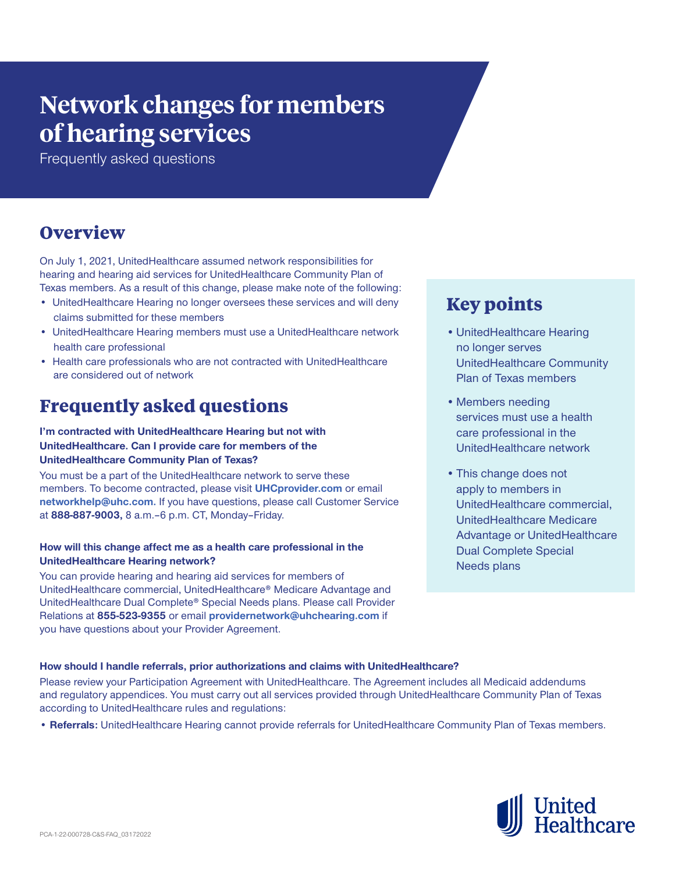# **Network changes for members of hearing services**

Frequently asked questions

### **Overview**

On July 1, 2021, UnitedHealthcare assumed network responsibilities for hearing and hearing aid services for UnitedHealthcare Community Plan of Texas members. As a result of this change, please make note of the following:

- UnitedHealthcare Hearing no longer oversees these services and will deny claims submitted for these members
- UnitedHealthcare Hearing members must use a UnitedHealthcare network health care professional
- Health care professionals who are not contracted with UnitedHealthcare are considered out of network

### **Frequently asked questions**

### **I'm contracted with UnitedHealthcare Hearing but not with UnitedHealthcare. Can I provide care for members of the UnitedHealthcare Community Plan of Texas?**

You must be a part of the UnitedHealthcare network to serve these members. To become contracted, please visit **[UHCprovider.com](http://UHCprovider.com)** or email **[networkhelp@uhc.com.](mailto:networkhelp%40uhc.com.?subject=)** If you have questions, please call Customer Service at **888-887-9003,** 8 a.m.–6 p.m. CT, Monday–Friday.

### **How will this change affect me as a health care professional in the UnitedHealthcare Hearing network?**

You can provide hearing and hearing aid services for members of UnitedHealthcare commercial, UnitedHealthcare® Medicare Advantage and UnitedHealthcare Dual Complete® Special Needs plans. Please call Provider Relations at **855-523-9355** or email **[providernetwork@uhchearing.com](mailto:providernetwork%40uhchearing.com%20?subject=)** if you have questions about your Provider Agreement.

## **Key points**

- •UnitedHealthcare Hearing no longer serves UnitedHealthcare Community Plan of Texas members
- Members needing services must use a health care professional in the UnitedHealthcare network
- •This change does not apply to members in UnitedHealthcare commercial, UnitedHealthcare Medicare Advantage or UnitedHealthcare Dual Complete Special Needs plans

### **How should I handle referrals, prior authorizations and claims with UnitedHealthcare?**

Please review your Participation Agreement with UnitedHealthcare. The Agreement includes all Medicaid addendums and regulatory appendices. You must carry out all services provided through UnitedHealthcare Community Plan of Texas according to UnitedHealthcare rules and regulations:

**• Referrals:** UnitedHealthcare Hearing cannot provide referrals for UnitedHealthcare Community Plan of Texas members.